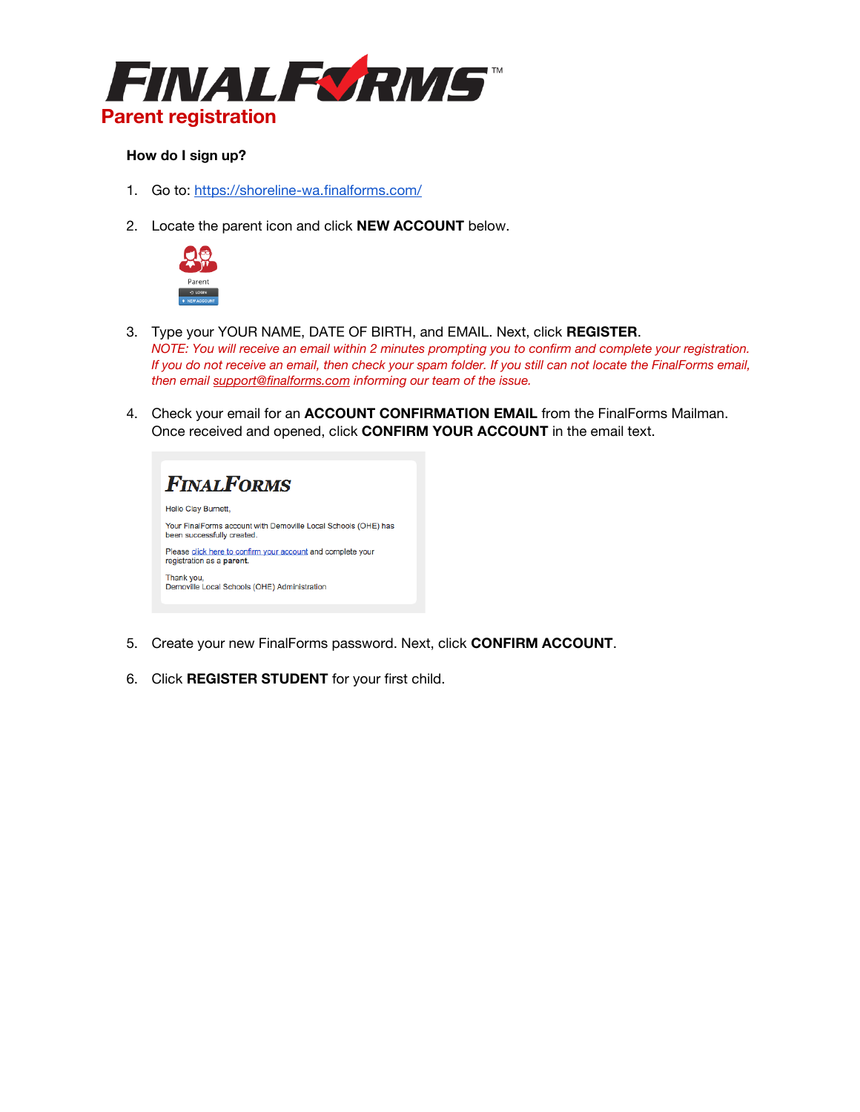

# **How do I sign up?**

- 1. Go to:<https://shoreline-wa.finalforms.com/>
- 2. Locate the parent icon and click **NEW ACCOUNT** below.



- 3. Type your YOUR NAME, DATE OF BIRTH, and EMAIL. Next, click **REGISTER**. *NOTE: You will receive an email within 2 minutes prompting you to confirm and complete your registration. If you do not receive an email, then check your spam folder. If you still can not locate the FinalForms email, then email [support@finalforms.com](mailto:support@finalforms.com) informing our team of the issue.*
- 4. Check your email for an **ACCOUNT CONFIRMATION EMAIL** from the FinalForms Mailman. Once received and opened, click **CONFIRM YOUR ACCOUNT** in the email text.



- 5. Create your new FinalForms password. Next, click **CONFIRM ACCOUNT**.
- 6. Click **REGISTER STUDENT** for your first child.